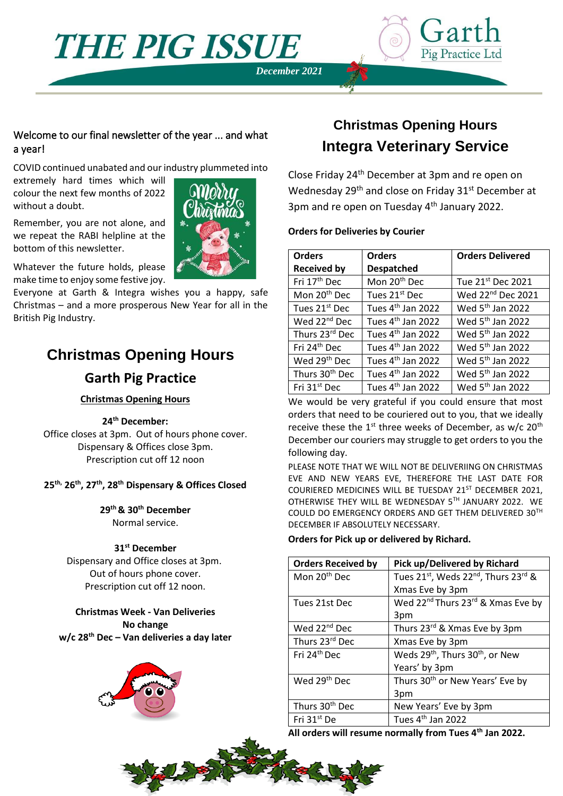**THE PIG ISSUE** 





### Welcome to our final newsletter of the year ... and what a year!

COVID continued unabated and our industry plummeted into

extremely hard times which will colour the next few months of 2022 without a doubt.

Remember, you are not alone, and we repeat the RABI helpline at the bottom of this newsletter.

Whatever the future holds, please make time to enjoy some festive joy.

Everyone at Garth & Integra wishes you a happy, safe Christmas – and a more prosperous New Year for all in the British Pig Industry.

# **Christmas Opening Hours**

## **Garth Pig Practice**

#### **Christmas Opening Hours**

#### **24th December:**

Office closes at 3pm. Out of hours phone cover. Dispensary & Offices close 3pm. Prescription cut off 12 noon

### **25th, 26th, 27th, 28th Dispensary & Offices Closed**

**29th & 30th December** Normal service.

#### **31st December**

Dispensary and Office closes at 3pm. Out of hours phone cover. Prescription cut off 12 noon.

**Christmas Week - Van Deliveries No change w/c 28th Dec – Van deliveries a day later**



# **Christmas Opening Hours Integra Veterinary Service**

Close Friday 24th December at 3pm and re open on Wednesday 29<sup>th</sup> and close on Friday 31<sup>st</sup> December at 3pm and re open on Tuesday 4<sup>th</sup> January 2022.

#### **Orders for Deliveries by Courier**

| <b>Orders</b>              | <b>Orders</b>                 | <b>Orders Delivered</b>       |
|----------------------------|-------------------------------|-------------------------------|
| <b>Received by</b>         | <b>Despatched</b>             |                               |
| Fri 17th Dec               | Mon 20 <sup>th</sup> Dec      | Tue 21st Dec 2021             |
| Mon 20 <sup>th</sup> Dec   | Tues 21st Dec                 | Wed 22 <sup>nd</sup> Dec 2021 |
| Tues 21 <sup>st</sup> Dec  | Tues 4 <sup>th</sup> Jan 2022 | Wed 5 <sup>th</sup> Jan 2022  |
| Wed 22 <sup>nd</sup> Dec   | Tues 4 <sup>th</sup> Jan 2022 | Wed 5 <sup>th</sup> Jan 2022  |
| Thurs 23rd Dec             | Tues 4 <sup>th</sup> Jan 2022 | Wed 5 <sup>th</sup> Jan 2022  |
| Fri 24 <sup>th</sup> Dec   | Tues 4 <sup>th</sup> Jan 2022 | Wed 5 <sup>th</sup> Jan 2022  |
| Wed 29 <sup>th</sup> Dec   | Tues 4 <sup>th</sup> Jan 2022 | Wed 5 <sup>th</sup> Jan 2022  |
| Thurs 30 <sup>th</sup> Dec | Tues 4 <sup>th</sup> Jan 2022 | Wed 5 <sup>th</sup> Jan 2022  |
| Fri 31 <sup>st</sup> Dec   | Tues 4 <sup>th</sup> Jan 2022 | Wed 5 <sup>th</sup> Jan 2022  |

We would be very grateful if you could ensure that most orders that need to be couriered out to you, that we ideally receive these the  $1^{st}$  three weeks of December, as w/c  $20^{th}$ December our couriers may struggle to get orders to you the following day.

PLEASE NOTE THAT WE WILL NOT BE DELIVERIING ON CHRISTMAS EVE AND NEW YEARS EVE, THEREFORE THE LAST DATE FOR COURIERED MEDICINES WILL BE TUESDAY 21ST DECEMBER 2021, OTHERWISE THEY WILL BE WEDNESDAY 5TH JANUARY 2022. WE COULD DO EMERGENCY ORDERS AND GET THEM DELIVERED 30TH DECEMBER IF ABSOLUTELY NECESSARY.

### **Orders for Pick up or delivered by Richard.**

| <b>Orders Received by</b>  | Pick up/Delivered by Richard                                |
|----------------------------|-------------------------------------------------------------|
| Mon 20 <sup>th</sup> Dec   | Tues 21st, Weds 22 <sup>nd</sup> , Thurs 23 <sup>rd</sup> & |
|                            | Xmas Eve by 3pm                                             |
| Tues 21st Dec              | Wed 22 <sup>nd</sup> Thurs 23 <sup>rd</sup> & Xmas Eve by   |
|                            | 3pm                                                         |
| Wed 22 <sup>nd</sup> Dec   | Thurs 23rd & Xmas Eve by 3pm                                |
| Thurs 23rd Dec             | Xmas Eve by 3pm                                             |
| Fri 24 <sup>th</sup> Dec   | Weds 29 <sup>th</sup> , Thurs 30 <sup>th</sup> , or New     |
|                            | Years' by 3pm                                               |
| Wed 29 <sup>th</sup> Dec   | Thurs 30 <sup>th</sup> or New Years' Eve by                 |
|                            | 3pm                                                         |
| Thurs 30 <sup>th</sup> Dec | New Years' Eve by 3pm                                       |
| Fri 31 <sup>st</sup> De    | Tues 4 <sup>th</sup> Jan 2022                               |

**All orders will resume normally from Tues 4th Jan 2022.**